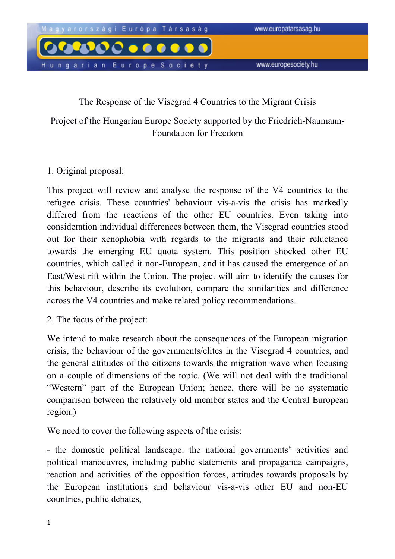

## The Response of the Visegrad 4 Countries to the Migrant Crisis

Project of the Hungarian Europe Society supported by the Friedrich-Naumann-Foundation for Freedom

## 1. Original proposal:

This project will review and analyse the response of the V4 countries to the refugee crisis. These countries' behaviour vis-a-vis the crisis has markedly differed from the reactions of the other EU countries. Even taking into consideration individual differences between them, the Visegrad countries stood out for their xenophobia with regards to the migrants and their reluctance towards the emerging EU quota system. This position shocked other EU countries, which called it non-European, and it has caused the emergence of an East/West rift within the Union. The project will aim to identify the causes for this behaviour, describe its evolution, compare the similarities and difference across the V4 countries and make related policy recommendations.

2. The focus of the project:

We intend to make research about the consequences of the European migration crisis, the behaviour of the governments/elites in the Visegrad 4 countries, and the general attitudes of the citizens towards the migration wave when focusing on a couple of dimensions of the topic. (We will not deal with the traditional "Western" part of the European Union; hence, there will be no systematic comparison between the relatively old member states and the Central European region.)

We need to cover the following aspects of the crisis:

- the domestic political landscape: the national governments' activities and political manoeuvres, including public statements and propaganda campaigns, reaction and activities of the opposition forces, attitudes towards proposals by the European institutions and behaviour vis-a-vis other EU and non-EU countries, public debates,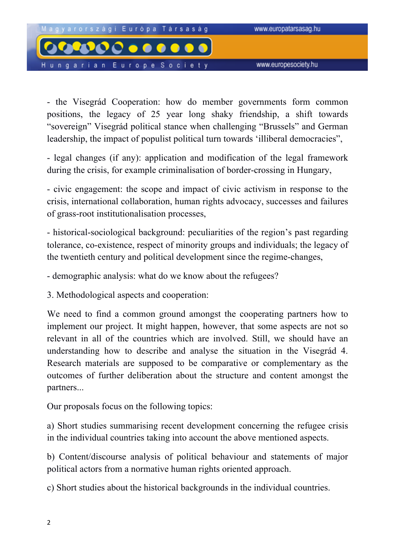

- the Visegrád Cooperation: how do member governments form common positions, the legacy of 25 year long shaky friendship, a shift towards "sovereign" Visegrád political stance when challenging "Brussels" and German leadership, the impact of populist political turn towards 'illiberal democracies",

- legal changes (if any): application and modification of the legal framework during the crisis, for example criminalisation of border-crossing in Hungary,

- civic engagement: the scope and impact of civic activism in response to the crisis, international collaboration, human rights advocacy, successes and failures of grass-root institutionalisation processes,

- historical-sociological background: peculiarities of the region's past regarding tolerance, co-existence, respect of minority groups and individuals; the legacy of the twentieth century and political development since the regime-changes,

- demographic analysis: what do we know about the refugees?

3. Methodological aspects and cooperation:

We need to find a common ground amongst the cooperating partners how to implement our project. It might happen, however, that some aspects are not so relevant in all of the countries which are involved. Still, we should have an understanding how to describe and analyse the situation in the Visegrád 4. Research materials are supposed to be comparative or complementary as the outcomes of further deliberation about the structure and content amongst the partners...

Our proposals focus on the following topics:

a) Short studies summarising recent development concerning the refugee crisis in the individual countries taking into account the above mentioned aspects.

b) Content/discourse analysis of political behaviour and statements of major political actors from a normative human rights oriented approach.

c) Short studies about the historical backgrounds in the individual countries.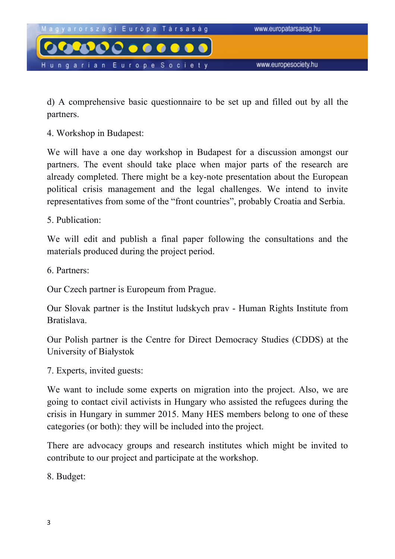

d) A comprehensive basic questionnaire to be set up and filled out by all the partners.

4. Workshop in Budapest:

We will have a one day workshop in Budapest for a discussion amongst our partners. The event should take place when major parts of the research are already completed. There might be a key-note presentation about the European political crisis management and the legal challenges. We intend to invite representatives from some of the "front countries", probably Croatia and Serbia.

5. Publication:

We will edit and publish a final paper following the consultations and the materials produced during the project period.

6. Partners:

Our Czech partner is Europeum from Prague.

Our Slovak partner is the Institut ludskych prav - Human Rights Institute from Bratislava.

Our Polish partner is the Centre for Direct Democracy Studies (CDDS) at the University of Białystok

7. Experts, invited guests:

We want to include some experts on migration into the project. Also, we are going to contact civil activists in Hungary who assisted the refugees during the crisis in Hungary in summer 2015. Many HES members belong to one of these categories (or both): they will be included into the project.

There are advocacy groups and research institutes which might be invited to contribute to our project and participate at the workshop.

8. Budget: